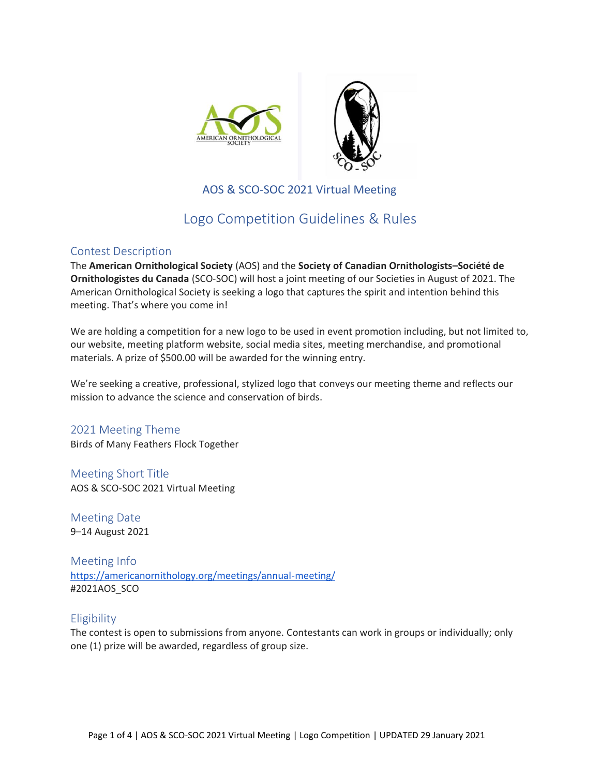



# AOS & SCO-SOC 2021 Virtual Meeting

# Logo Competition Guidelines & Rules

## Contest Description

The **American Ornithological Society** (AOS) and the **Society of Canadian Ornithologists–Société de Ornithologistes du Canada** (SCO-SOC) will host a joint meeting of our Societies in August of 2021. The American Ornithological Society is seeking a logo that captures the spirit and intention behind this meeting. That's where you come in!

We are holding a competition for a new logo to be used in event promotion including, but not limited to, our website, meeting platform website, social media sites, meeting merchandise, and promotional materials. A prize of \$500.00 will be awarded for the winning entry.

We're seeking a creative, professional, stylized logo that conveys our meeting theme and reflects our mission to advance the science and conservation of birds.

2021 Meeting Theme Birds of Many Feathers Flock Together

Meeting Short Title AOS & SCO-SOC 2021 Virtual Meeting

Meeting Date 9–14 August 2021

Meeting Info <https://americanornithology.org/meetings/annual-meeting/> #2021AOS\_SCO

# **Eligibility**

The contest is open to submissions from anyone. Contestants can work in groups or individually; only one (1) prize will be awarded, regardless of group size.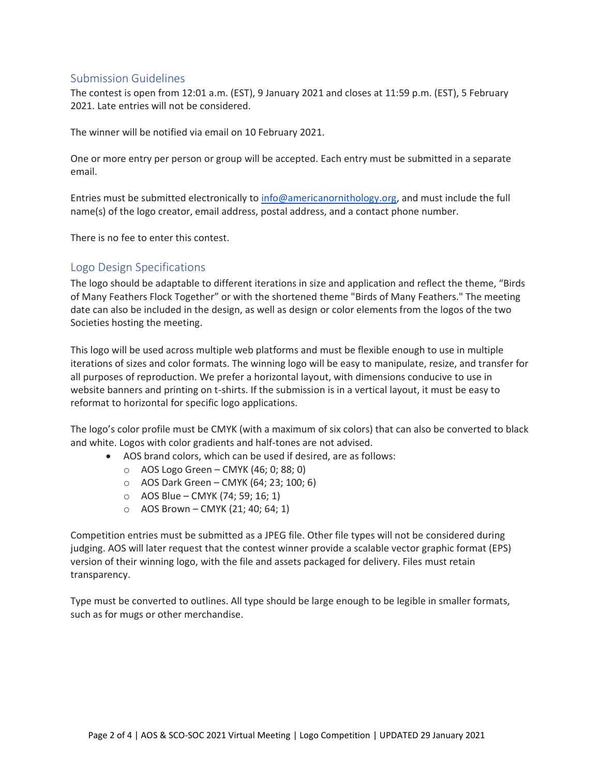## Submission Guidelines

The contest is open from 12:01 a.m. (EST), 9 January 2021 and closes at 11:59 p.m. (EST), 5 February 2021. Late entries will not be considered.

The winner will be notified via email on 10 February 2021.

One or more entry per person or group will be accepted. Each entry must be submitted in a separate email.

Entries must be submitted electronically t[o info@americanornithology.org,](mailto:info@americanornithology.org) and must include the full name(s) of the logo creator, email address, postal address, and a contact phone number.

There is no fee to enter this contest.

## Logo Design Specifications

The logo should be adaptable to different iterations in size and application and reflect the theme, "Birds of Many Feathers Flock Together" or with the shortened theme "Birds of Many Feathers." The meeting date can also be included in the design, as well as design or color elements from the logos of the two Societies hosting the meeting.

This logo will be used across multiple web platforms and must be flexible enough to use in multiple iterations of sizes and color formats. The winning logo will be easy to manipulate, resize, and transfer for all purposes of reproduction. We prefer a horizontal layout, with dimensions conducive to use in website banners and printing on t-shirts. If the submission is in a vertical layout, it must be easy to reformat to horizontal for specific logo applications.

The logo's color profile must be CMYK (with a maximum of six colors) that can also be converted to black and white. Logos with color gradients and half-tones are not advised.

- AOS brand colors, which can be used if desired, are as follows:
	- o AOS Logo Green CMYK (46; 0; 88; 0)
	- o AOS Dark Green CMYK (64; 23; 100; 6)
	- o AOS Blue CMYK (74; 59; 16; 1)
	- $\circ$  AOS Brown CMYK (21; 40; 64; 1)

Competition entries must be submitted as a JPEG file. Other file types will not be considered during judging. AOS will later request that the contest winner provide a scalable vector graphic format (EPS) version of their winning logo, with the file and assets packaged for delivery. Files must retain transparency.

Type must be converted to outlines. All type should be large enough to be legible in smaller formats, such as for mugs or other merchandise.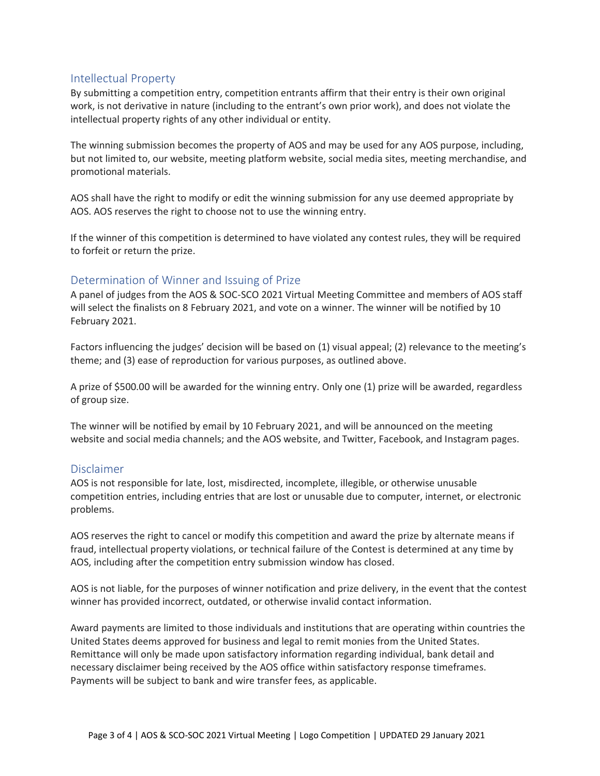## Intellectual Property

By submitting a competition entry, competition entrants affirm that their entry is their own original work, is not derivative in nature (including to the entrant's own prior work), and does not violate the intellectual property rights of any other individual or entity.

The winning submission becomes the property of AOS and may be used for any AOS purpose, including, but not limited to, our website, meeting platform website, social media sites, meeting merchandise, and promotional materials.

AOS shall have the right to modify or edit the winning submission for any use deemed appropriate by AOS. AOS reserves the right to choose not to use the winning entry.

If the winner of this competition is determined to have violated any contest rules, they will be required to forfeit or return the prize.

## Determination of Winner and Issuing of Prize

A panel of judges from the AOS & SOC-SCO 2021 Virtual Meeting Committee and members of AOS staff will select the finalists on 8 February 2021, and vote on a winner. The winner will be notified by 10 February 2021.

Factors influencing the judges' decision will be based on (1) visual appeal; (2) relevance to the meeting's theme; and (3) ease of reproduction for various purposes, as outlined above.

A prize of \$500.00 will be awarded for the winning entry. Only one (1) prize will be awarded, regardless of group size.

The winner will be notified by email by 10 February 2021, and will be announced on the meeting website and social media channels; and the AOS website, and Twitter, Facebook, and Instagram pages.

#### Disclaimer

AOS is not responsible for late, lost, misdirected, incomplete, illegible, or otherwise unusable competition entries, including entries that are lost or unusable due to computer, internet, or electronic problems.

AOS reserves the right to cancel or modify this competition and award the prize by alternate means if fraud, intellectual property violations, or technical failure of the Contest is determined at any time by AOS, including after the competition entry submission window has closed.

AOS is not liable, for the purposes of winner notification and prize delivery, in the event that the contest winner has provided incorrect, outdated, or otherwise invalid contact information.

Award payments are limited to those individuals and institutions that are operating within countries the United States deems approved for business and legal to remit monies from the United States. Remittance will only be made upon satisfactory information regarding individual, bank detail and necessary disclaimer being received by the AOS office within satisfactory response timeframes. Payments will be subject to bank and wire transfer fees, as applicable.